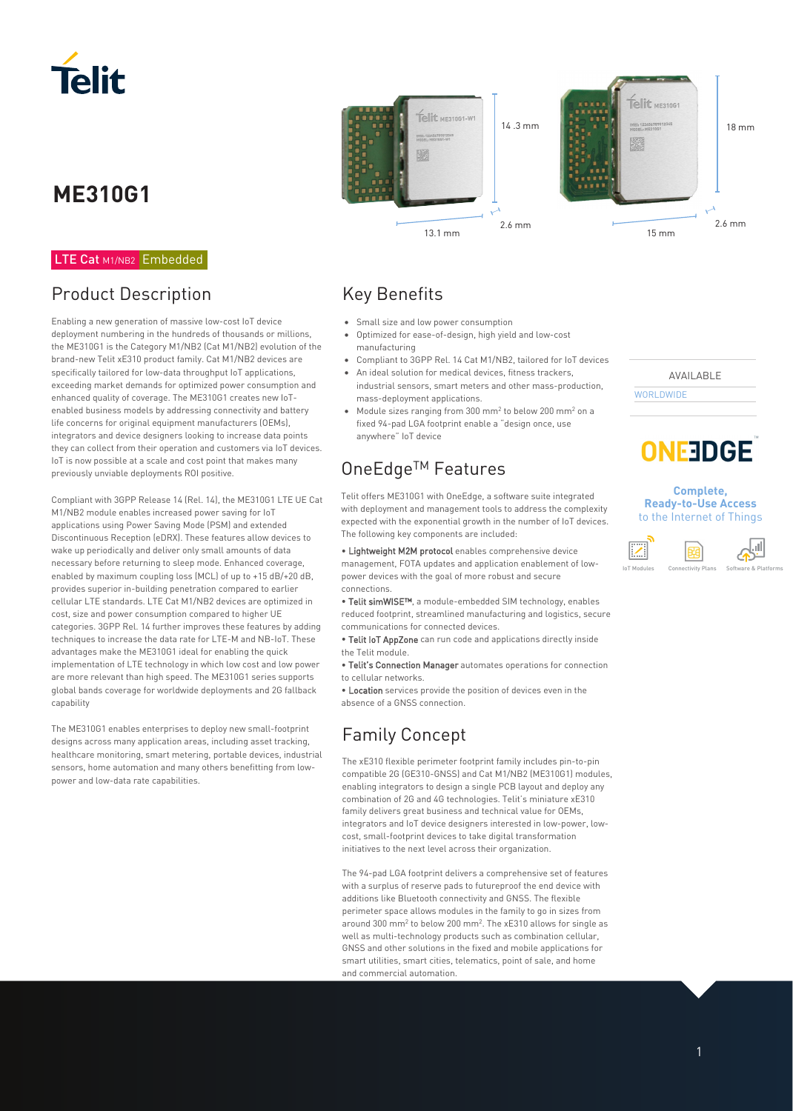

# **ME310G1**

#### LTE Cat M1/NB2 Embedded

### Product Description

Enabling a new generation of massive low-cost IoT device deployment numbering in the hundreds of thousands or millions, the ME310G1 is the Category M1/NB2 (Cat M1/NB2) evolution of the brand-new Telit xE310 product family. Cat M1/NB2 devices are specifically tailored for low-data throughput IoT applications, exceeding market demands for optimized power consumption and enhanced quality of coverage. The ME310G1 creates new IoTenabled business models by addressing connectivity and battery life concerns for original equipment manufacturers (OEMs), integrators and device designers looking to increase data points they can collect from their operation and customers via IoT devices. IoT is now possible at a scale and cost point that makes many previously unviable deployments ROI positive.

Compliant with 3GPP Release 14 (Rel. 14), the ME310G1 LTE UE Cat M1/NB2 module enables increased power saving for IoT applications using Power Saving Mode (PSM) and extended Discontinuous Reception (eDRX). These features allow devices to wake up periodically and deliver only small amounts of data necessary before returning to sleep mode. Enhanced coverage, enabled by maximum coupling loss (MCL) of up to +15 dB/+20 dB, provides superior in-building penetration compared to earlier cellular LTE standards. LTE Cat M1/NB2 devices are optimized in cost, size and power consumption compared to higher UE categories. 3GPP Rel. 14 further improves these features by adding techniques to increase the data rate for LTE-M and NB-IoT. These advantages make the ME310G1 ideal for enabling the quick implementation of LTE technology in which low cost and low power are more relevant than high speed. The ME310G1 series supports global bands coverage for worldwide deployments and 2G fallback capability

The ME310G1 enables enterprises to deploy new small-footprint designs across many application areas, including asset tracking, healthcare monitoring, smart metering, portable devices, industrial sensors, home automation and many others benefitting from lowpower and low-data rate capabilities.



### Key Benefits

- Small size and low power consumption
- Optimized for ease-of-design, high yield and low-cost manufacturing
- Compliant to 3GPP Rel. 14 Cat M1/NB2, tailored for IoT devices • An ideal solution for medical devices, fitness trackers,
- industrial sensors, smart meters and other mass-production, mass-deployment applications.
- Module sizes ranging from 300 mm<sup>2</sup> to below 200 mm<sup>2</sup> on a fixed 94-pad LGA footprint enable a "design once, use anywhere" IoT device

## OneEdge<sup>™</sup> Features

Telit offers ME310G1 with OneEdge, a software suite integrated with deployment and management tools to address the complexity expected with the exponential growth in the number of IoT devices. The following key components are included:

• Lightweight M2M protocol enables comprehensive device management, FOTA updates and application enablement of lowpower devices with the goal of more robust and secure connections.

• Telit simWISE™, a module-embedded SIM technology, enables reduced footprint, streamlined manufacturing and logistics, secure communications for connected devices.

• Telit IoT AppZone can run code and applications directly inside the Telit module.

• Telit's Connection Manager automates operations for connection to cellular networks.

• Location services provide the position of devices even in the absence of a GNSS connection.

### Family Concept

The xE310 flexible perimeter footprint family includes pin-to-pin compatible 2G (GE310-GNSS) and Cat M1/NB2 (ME310G1) modules, enabling integrators to design a single PCB layout and deploy any combination of 2G and 4G technologies. Telit's miniature xE310 family delivers great business and technical value for OEMs, integrators and IoT device designers interested in low-power, lowcost, small-footprint devices to take digital transformation initiatives to the next level across their organization.

The 94-pad LGA footprint delivers a comprehensive set of features with a surplus of reserve pads to futureproof the end device with additions like Bluetooth connectivity and GNSS. The flexible perimeter space allows modules in the family to go in sizes from around 300 mm<sup>2</sup> to below 200 mm<sup>2</sup>. The xE310 allows for single as well as multi-technology products such as combination cellular, GNSS and other solutions in the fixed and mobile applications for smart utilities, smart cities, telematics, point of sale, and home and commercial automation.

AVAILABLE **WORLDWIDE** 



#### **Complete, Ready-to-Use Access**  to the Internet of Things